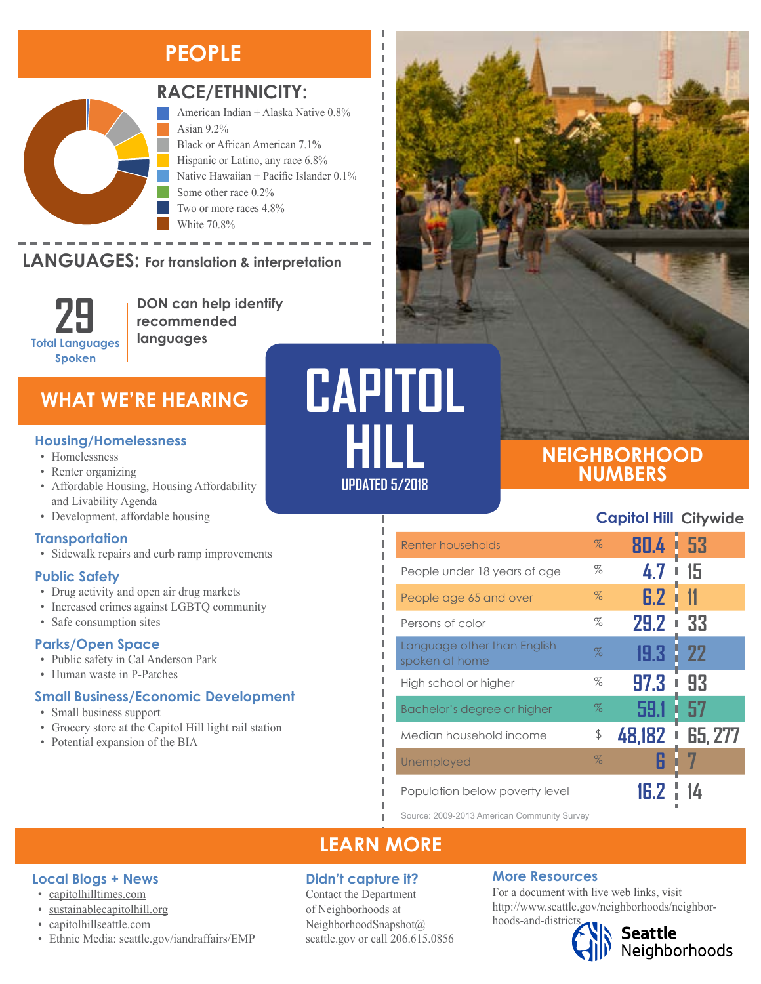# **PEOPLE**



#### **RACE/ETHNICITY:**

American Indian + Alaska Native 0.8% Asian 9.2% Black or African American 7.1% Hispanic or Latino, any race 6.8% Native Hawaiian + Pacific Islander 0.1% Some other race 0.2% Two or more races 4.8% White 70.8%

### **LANGUAGES:** For translation & interpretation



Hispanic or Latino, any race Native Hawaiian and Other Pacific Islander Some Other Race

**DON can help identify recommended languages**

## **WHAT WE'RE HEARING**

- Homelessness
- Renter organizing
- Affordable Housing, Housing Affordability and Livability Agenda
- Development, affordable housing

#### **Transportation**

• Sidewalk repairs and curb ramp improvements

#### **Public Safety**

- Drug activity and open air drug markets
- Increased crimes against LGBTQ community
- Safe consumption sites

#### **Parks/Open Space**

- Public safety in Cal Anderson Park
- Human waste in P-Patches

#### **Small Business/Economic Development**

- Small business support
- Grocery store at the Capitol Hill light rail station
- Potential expansion of the BIA

# **UPDATED 5/2018 CAPITOL Housing/Homelessness**<br>• Homelessness

I Л л

Л л

л

п П I, Л

### **NEIGHBORHOOD NUMBERS**

#### **Capitol Hill Citywide**

| Renter households                             | $\%$ | ı<br>80.4   | -53            |
|-----------------------------------------------|------|-------------|----------------|
| People under 18 years of age                  | %    | 4.7         | 15             |
| People age 65 and over                        | $\%$ | 6.2         | 11             |
| Persons of color                              | %    | <b>29.2</b> | 33             |
| Language other than English<br>spoken at home | $\%$ | 19.3        | -22            |
| High school or higher                         | %    | 97.3<br>I   | 93             |
| Bachelor's degree or higher                   | $\%$ | 59.1<br>ı   | -57            |
| Median household income                       | \$   | 48,182      | <b>65, 277</b> |
| Unemployed                                    | $\%$ | H           |                |
| Population below poverty level                |      |             |                |

Source: 2009-2013 American Community Survey

## **LEARN MORE**

#### **Didn't capture it?**

Contact the Department of Neighborhoods at [NeighborhoodSnapshot@](mailto:NeighborhoodSnapshot%40%0Aseattle.gov?subject=) [seattle.gov](mailto:NeighborhoodSnapshot%40%0Aseattle.gov?subject=) or call 206.615.0856

#### **More Resources**

For a document with live web links, visit [http://www.seattle.gov/neighborhoods/neighbor](http://www.seattle.gov/neighborhoods/neighborhoods-and-districts)[hoods-and-districts](http://www.seattle.gov/neighborhoods/neighborhoods-and-districts)

# **Seattle**<br>Neighborhoods

• [sustainablecapitolhill.org](https://sustainablecapitolhill.org/)

• [capitolhillseattle.com](http://www.capitolhillseattle.com/)

**Local Blogs + News** • [capitolhilltimes.com](http://capitolhilltimes.com/)

• Ethnic Media: [seattle.gov/iandraffairs/EMP](http://www.seattle.gov/iandraffairs/EMP)